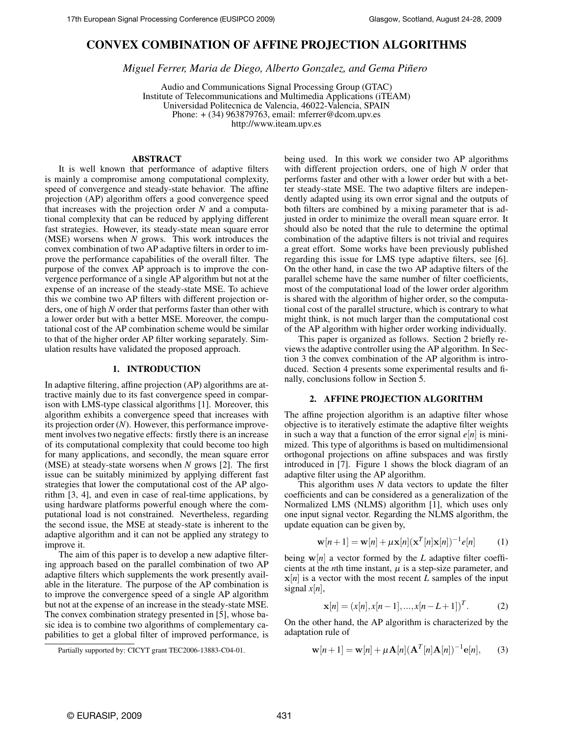# **CONVEX COMBINATION OF AFFINE PROJECTION ALGORITHMS**

*Miguel Ferrer, Maria de Diego, Alberto Gonzalez, and Gema Piñero* 

Audio and Communications Signal Processing Group (GTAC) Institute of Telecommunications and Multimedia Applications (iTEAM) Universidad Politecnica de Valencia, 46022-Valencia, SPAIN Phone: + (34) 963879763, email: mferrer@dcom.upv.es http://www.iteam.upv.es

## **ABSTRACT**

It is well known that performance of adaptive filters is mainly a compromise among computational complexity, speed of convergence and steady-state behavior. The affine projection (AP) algorithm offers a good convergence speed that increases with the projection order *N* and a computational complexity that can be reduced by applying different fast strategies. However, its steady-state mean square error (MSE) worsens when *N* grows. This work introduces the convex combination of two AP adaptive filters in order to improve the performance capabilities of the overall filter. The purpose of the convex AP approach is to improve the convergence performance of a single AP algorithm but not at the expense of an increase of the steady-state MSE. To achieve this we combine two AP filters with different projection orders, one of high *N* order that performs faster than other with a lower order but with a better MSE. Moreover, the computational cost of the AP combination scheme would be similar to that of the higher order AP filter working separately. Simulation results have validated the proposed approach.

### **1. INTRODUCTION**

In adaptive filtering, affine projection (AP) algorithms are attractive mainly due to its fast convergence speed in comparison with LMS-type classical algorithms [1]. Moreover, this algorithm exhibits a convergence speed that increases with its projection order (*N*). However, this performance improvement involves two negative effects: firstly there is an increase of its computational complexity that could become too high for many applications, and secondly, the mean square error (MSE) at steady-state worsens when *N* grows [2]. The first issue can be suitably minimized by applying different fast strategies that lower the computational cost of the AP algorithm [3, 4], and even in case of real-time applications, by using hardware platforms powerful enough where the computational load is not constrained. Nevertheless, regarding the second issue, the MSE at steady-state is inherent to the adaptive algorithm and it can not be applied any strategy to improve it.

The aim of this paper is to develop a new adaptive filtering approach based on the parallel combination of two AP adaptive filters which supplements the work presently available in the literature. The purpose of the AP combination is to improve the convergence speed of a single AP algorithm but not at the expense of an increase in the steady-state MSE. The convex combination strategy presented in [5], whose basic idea is to combine two algorithms of complementary capabilities to get a global filter of improved performance, is

being used. In this work we consider two AP algorithms with different projection orders, one of high *N* order that performs faster and other with a lower order but with a better steady-state MSE. The two adaptive filters are independently adapted using its own error signal and the outputs of both filters are combined by a mixing parameter that is adjusted in order to minimize the overall mean square error. It should also be noted that the rule to determine the optimal combination of the adaptive filters is not trivial and requires a great effort. Some works have been previously published regarding this issue for LMS type adaptive filters, see [6]. On the other hand, in case the two AP adaptive filters of the parallel scheme have the same number of filter coefficients, most of the computational load of the lower order algorithm is shared with the algorithm of higher order, so the computational cost of the parallel structure, which is contrary to what might think, is not much larger than the computational cost of the AP algorithm with higher order working individually.

This paper is organized as follows. Section 2 briefly reviews the adaptive controller using the AP algorithm. In Section 3 the convex combination of the AP algorithm is introduced. Section 4 presents some experimental results and finally, conclusions follow in Section 5.

## **2. AFFINE PROJECTION ALGORITHM**

The affine projection algorithm is an adaptive filter whose objective is to iteratively estimate the adaptive filter weights in such a way that a function of the error signal  $e[n]$  is minimized. This type of algorithms is based on multidimensional orthogonal projections on affine subspaces and was firstly introduced in [7]. Figure 1 shows the block diagram of an adaptive filter using the AP algorithm.

This algorithm uses *N* data vectors to update the filter coefficients and can be considered as a generalization of the Normalized LMS (NLMS) algorithm [1], which uses only one input signal vector. Regarding the NLMS algorithm, the update equation can be given by,

$$
\mathbf{w}[n+1] = \mathbf{w}[n] + \mu \mathbf{x}[n](\mathbf{x}^T[n]\mathbf{x}[n])^{-1}e[n] \tag{1}
$$

being  $w[n]$  a vector formed by the *L* adaptive filter coefficients at the *n*th time instant,  $\mu$  is a step-size parameter, and  $x[n]$  is a vector with the most recent *L* samples of the input signal  $x[n]$ ,

$$
\mathbf{x}[n] = (x[n], x[n-1], ..., x[n-L+1])^{T}.
$$
 (2)

On the other hand, the AP algorithm is characterized by the adaptation rule of

$$
\mathbf{w}[n+1] = \mathbf{w}[n] + \mu \mathbf{A}[n] (\mathbf{A}^T[n] \mathbf{A}[n])^{-1} \mathbf{e}[n], \quad (3)
$$

Partially supported by: CICYT grant TEC2006-13883-C04-01.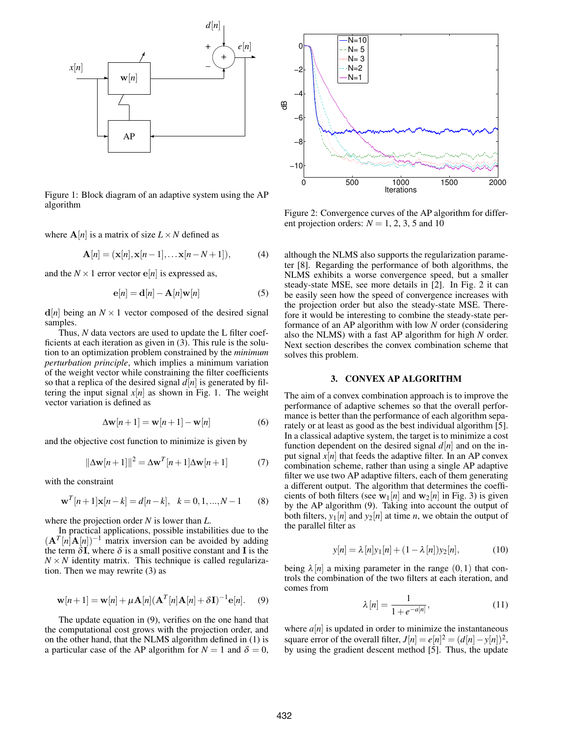

Figure 1: Block diagram of an adaptive system using the AP algorithm

where  $\mathbf{A}[n]$  is a matrix of size  $L \times N$  defined as

$$
\mathbf{A}[n] = (\mathbf{x}[n], \mathbf{x}[n-1], \dots \mathbf{x}[n-N+1]), \tag{4}
$$

and the  $N \times 1$  error vector  $e[n]$  is expressed as,

$$
\mathbf{e}[n] = \mathbf{d}[n] - \mathbf{A}[n]\mathbf{w}[n] \tag{5}
$$

 $d[n]$  being an  $N \times 1$  vector composed of the desired signal samples.

Thus, *N* data vectors are used to update the L filter coefficients at each iteration as given in (3). This rule is the solution to an optimization problem constrained by the *minimum perturbation principle*, which implies a minimum variation of the weight vector while constraining the filter coefficients so that a replica of the desired signal  $d[n]$  is generated by filtering the input signal  $x[n]$  as shown in Fig. 1. The weight vector variation is defined as

$$
\Delta \mathbf{w}[n+1] = \mathbf{w}[n+1] - \mathbf{w}[n]
$$
 (6)

and the objective cost function to minimize is given by

$$
\|\Delta \mathbf{w}[n+1]\|^2 = \Delta \mathbf{w}^T[n+1]\Delta \mathbf{w}[n+1] \tag{7}
$$

with the constraint

$$
\mathbf{w}^{T}[n+1]\mathbf{x}[n-k] = d[n-k], \quad k = 0, 1, ..., N-1 \quad (8)
$$

where the projection order *N* is lower than *L*.

In practical applications, possible instabilities due to the  $(A^T[n]\mathbf{A}[n])^{-1}$  matrix inversion can be avoided by adding the term  $\delta I$ , where  $\delta$  is a small positive constant and I is the  $N \times N$  identity matrix. This technique is called regularization. Then we may rewrite (3) as

$$
\mathbf{w}[n+1] = \mathbf{w}[n] + \mu \mathbf{A}[n](\mathbf{A}^T[n]\mathbf{A}[n] + \delta \mathbf{I})^{-1}\mathbf{e}[n]. \quad (9)
$$

The update equation in (9), verifies on the one hand that the computational cost grows with the projection order, and on the other hand, that the NLMS algorithm defined in (1) is a particular case of the AP algorithm for  $N = 1$  and  $\delta = 0$ ,



Figure 2: Convergence curves of the AP algorithm for different projection orders:  $N = 1, 2, 3, 5$  and 10

although the NLMS also supports the regularization parameter [8]. Regarding the performance of both algorithms, the NLMS exhibits a worse convergence speed, but a smaller steady-state MSE, see more details in [2]. In Fig. 2 it can be easily seen how the speed of convergence increases with the projection order but also the steady-state MSE. Therefore it would be interesting to combine the steady-state performance of an AP algorithm with low *N* order (considering also the NLMS) with a fast AP algorithm for high *N* order. Next section describes the convex combination scheme that solves this problem.

# **3. CONVEX AP ALGORITHM**

The aim of a convex combination approach is to improve the performance of adaptive schemes so that the overall performance is better than the performance of each algorithm separately or at least as good as the best individual algorithm [5]. In a classical adaptive system, the target is to minimize a cost function dependent on the desired signal  $d[n]$  and on the input signal  $x[n]$  that feeds the adaptive filter. In an AP convex combination scheme, rather than using a single AP adaptive filter we use two AP adaptive filters, each of them generating a different output. The algorithm that determines the coefficients of both filters (see  $w_1[n]$  and  $w_2[n]$  in Fig. 3) is given by the AP algorithm (9). Taking into account the output of both filters,  $y_1[n]$  and  $y_2[n]$  at time *n*, we obtain the output of the parallel filter as

$$
y[n] = \lambda [n]y_1[n] + (1 - \lambda [n])y_2[n],
$$
 (10)

being  $\lambda[n]$  a mixing parameter in the range  $(0,1)$  that controls the combination of the two filters at each iteration, and comes from

$$
\lambda[n] = \frac{1}{1 + e^{-a[n]}},\tag{11}
$$

where  $a[n]$  is updated in order to minimize the instantaneous square error of the overall filter,  $J[n] = e[n]^2 = (d[n]-y[n])^2$ , by using the gradient descent method [5]. Thus, the update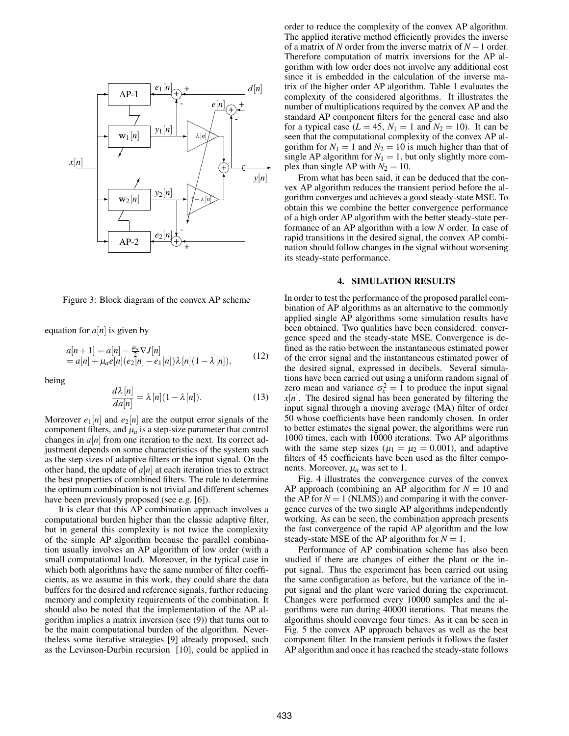

Figure 3: Block diagram of the convex AP scheme

equation for  $a[n]$  is given by

$$
a[n+1] = a[n] - \frac{\mu_a}{2} \nabla J[n] = a[n] + \mu_a e[n](e_2[n] - e_1[n]) \lambda[n](1 - \lambda[n]),
$$
 (12)

being

$$
\frac{d\lambda[n]}{da[n]} = \lambda[n](1 - \lambda[n]).
$$
\n(13)

Moreover  $e_1[n]$  and  $e_2[n]$  are the output error signals of the component filters, and  $\mu_a$  is a step-size parameter that control changes in  $a[n]$  from one iteration to the next. Its correct adjustment depends on some characteristics of the system such as the step sizes of adaptive filters or the input signal. On the other hand, the update of  $a[n]$  at each iteration tries to extract the best properties of combined filters. The rule to determine the optimum combination is not trivial and different schemes have been previously proposed (see e.g. [6]).

It is clear that this AP combination approach involves a computational burden higher than the classic adaptive filter, but in general this complexity is not twice the complexity of the simple AP algorithm because the parallel combination usually involves an AP algorithm of low order (with a small computational load). Moreover, in the typical case in which both algorithms have the same number of filter coefficients, as we assume in this work, they could share the data buffers for the desired and reference signals, further reducing memory and complexity requirements of the combination. It should also be noted that the implementation of the AP algorithm implies a matrix inversion (see (9)) that turns out to be the main computational burden of the algorithm. Nevertheless some iterative strategies [9] already proposed, such as the Levinson-Durbin recursion [10], could be applied in order to reduce the complexity of the convex AP algorithm. The applied iterative method efficiently provides the inverse of a matrix of *N* order from the inverse matrix of *N* −1 order. Therefore computation of matrix inversions for the AP algorithm with low order does not involve any additional cost since it is embedded in the calculation of the inverse matrix of the higher order AP algorithm. Table 1 evaluates the complexity of the considered algorithms. It illustrates the number of multiplications required by the convex AP and the standard AP component filters for the general case and also for a typical case  $(L = 45, N_1 = 1$  and  $N_2 = 10$ ). It can be seen that the computational complexity of the convex AP algorithm for  $N_1 = 1$  and  $N_2 = 10$  is much higher than that of single AP algorithm for  $N_1 = 1$ , but only slightly more complex than single AP with  $N_2 = 10$ .

From what has been said, it can be deduced that the convex AP algorithm reduces the transient period before the algorithm converges and achieves a good steady-state MSE. To obtain this we combine the better convergence performance of a high order AP algorithm with the better steady-state performance of an AP algorithm with a low *N* order. In case of rapid transitions in the desired signal, the convex AP combination should follow changes in the signal without worsening its steady-state performance.

### **4. SIMULATION RESULTS**

In order to test the performance of the proposed parallel combination of AP algorithms as an alternative to the commonly applied single AP algorithms some simulation results have been obtained. Two qualities have been considered: convergence speed and the steady-state MSE. Convergence is defined as the ratio between the instantaneous estimated power of the error signal and the instantaneous estimated power of the desired signal, expressed in decibels. Several simulations have been carried out using a uniform random signal of zero mean and variance  $\sigma_x^2 = 1$  to produce the input signal  $x[n]$ . The desired signal has been generated by filtering the input signal through a moving average (MA) filter of order 50 whose coefficients have been randomly chosen. In order to better estimates the signal power, the algorithms were run 1000 times, each with 10000 iterations. Two AP algorithms with the same step sizes ( $\mu_1 = \mu_2 = 0.001$ ), and adaptive filters of 45 coefficients have been used as the filter components. Moreover,  $\mu_a$  was set to 1.

Fig. 4 illustrates the convergence curves of the convex AP approach (combining an AP algorithm for  $N = 10$  and the AP for  $N = 1$  (NLMS)) and comparing it with the convergence curves of the two single AP algorithms independently working. As can be seen, the combination approach presents the fast convergence of the rapid AP algorithm and the low steady-state MSE of the AP algorithm for  $N = 1$ .

Performance of AP combination scheme has also been studied if there are changes of either the plant or the input signal. Thus the experiment has been carried out using the same configuration as before, but the variance of the input signal and the plant were varied during the experiment. Changes were performed every 10000 samples and the algorithms were run during 40000 iterations. That means the algorithms should converge four times. As it can be seen in Fig. 5 the convex AP approach behaves as well as the best component filter. In the transient periods it follows the faster AP algorithm and once it has reached the steady-state follows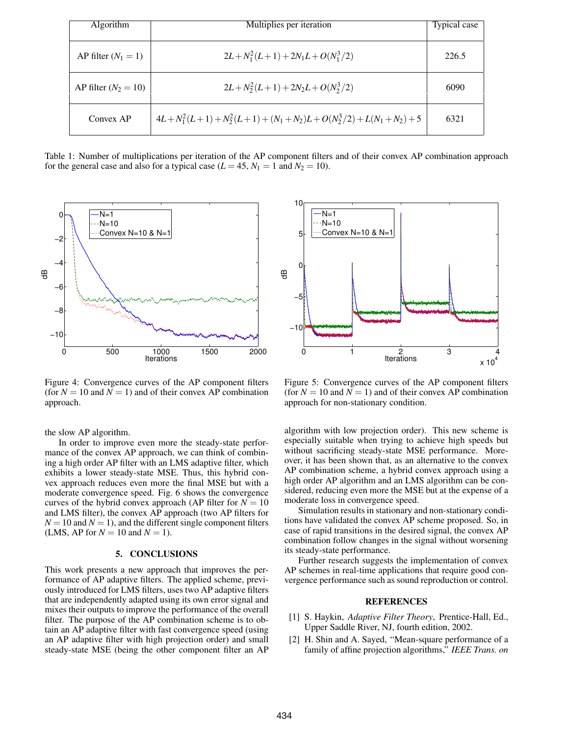| Algorithm              | Multiplies per iteration                                      | Typical case |
|------------------------|---------------------------------------------------------------|--------------|
| AP filter $(N_1 = 1)$  | $2L+N_1^2(L+1)+2N_1L+O(N_1^3/2)$                              | 226.5        |
| AP filter $(N_2 = 10)$ | $2L+N_2^2(L+1)+2N_2L+O(N_2^3/2)$                              | 6090         |
| Convex AP              | $4L+N_1^2(L+1)+N_2^2(L+1)+(N_1+N_2)L+O(N_2^3/2)+L(N_1+N_2)+5$ | 6321         |

Table 1: Number of multiplications per iteration of the AP component filters and of their convex AP combination approach for the general case and also for a typical case ( $L = 45$ ,  $N_1 = 1$  and  $N_2 = 10$ ).



Figure 4: Convergence curves of the AP component filters (for  $N = 10$  and  $N = 1$ ) and of their convex AP combination approach.

the slow AP algorithm.

In order to improve even more the steady-state performance of the convex AP approach, we can think of combining a high order AP filter with an LMS adaptive filter, which exhibits a lower steady-state MSE. Thus, this hybrid convex approach reduces even more the final MSE but with a moderate convergence speed. Fig. 6 shows the convergence curves of the hybrid convex approach (AP filter for  $N = 10$ ) and LMS filter), the convex AP approach (two AP filters for  $N = 10$  and  $N = 1$ ), and the different single component filters (LMS, AP for  $N = 10$  and  $N = 1$ ).

#### **5. CONCLUSIONS**

This work presents a new approach that improves the performance of AP adaptive filters. The applied scheme, previously introduced for LMS filters, uses two AP adaptive filters that are independently adapted using its own error signal and mixes their outputs to improve the performance of the overall filter. The purpose of the AP combination scheme is to obtain an AP adaptive filter with fast convergence speed (using an AP adaptive filter with high projection order) and small steady-state MSE (being the other component filter an AP



Figure 5: Convergence curves of the AP component filters (for  $N = 10$  and  $N = 1$ ) and of their convex AP combination approach for non-stationary condition.

algorithm with low projection order). This new scheme is especially suitable when trying to achieve high speeds but without sacrificing steady-state MSE performance. Moreover, it has been shown that, as an alternative to the convex AP combination scheme, a hybrid convex approach using a high order AP algorithm and an LMS algorithm can be considered, reducing even more the MSE but at the expense of a moderate loss in convergence speed.

Simulation results in stationary and non-stationary conditions have validated the convex AP scheme proposed. So, in case of rapid transitions in the desired signal, the convex AP combination follow changes in the signal without worsening its steady-state performance.

Further research suggests the implementation of convex AP schemes in real-time applications that require good convergence performance such as sound reproduction or control.

#### **REFERENCES**

- [1] S. Haykin, *Adaptive Filter Theory*, Prentice-Hall, Ed., Upper Saddle River, NJ, fourth edition, 2002.
- [2] H. Shin and A. Sayed, "Mean-square performance of a family of affine projection algorithms," *IEEE Trans. on*